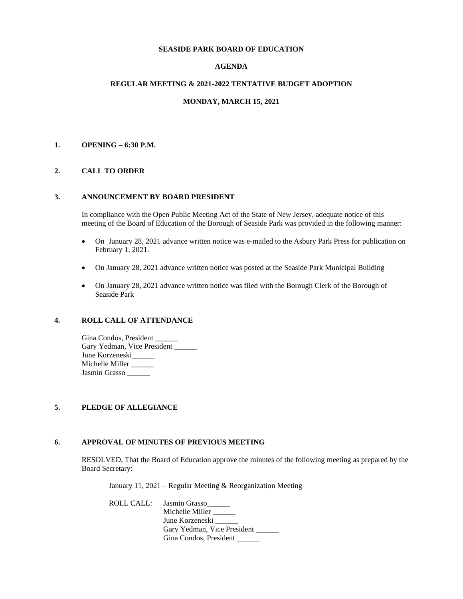#### **SEASIDE PARK BOARD OF EDUCATION**

# **AGENDA**

#### **REGULAR MEETING & 2021-2022 TENTATIVE BUDGET ADOPTION**

#### **MONDAY, MARCH 15, 2021**

#### **1. OPENING – 6:30 P.M.**

### **2. CALL TO ORDER**

#### **3. ANNOUNCEMENT BY BOARD PRESIDENT**

In compliance with the Open Public Meeting Act of the State of New Jersey, adequate notice of this meeting of the Board of Education of the Borough of Seaside Park was provided in the following manner:

- On January 28, 2021 advance written notice was e-mailed to the Asbury Park Press for publication on February 1, 2021.
- On January 28, 2021 advance written notice was posted at the Seaside Park Municipal Building
- On January 28, 2021 advance written notice was filed with the Borough Clerk of the Borough of Seaside Park

# **4. ROLL CALL OF ATTENDANCE**

Gina Condos, President Gary Yedman, Vice President June Korzeneski Michelle Miller \_\_\_\_\_ Jasmin Grasso

#### **5. PLEDGE OF ALLEGIANCE**

## **6. APPROVAL OF MINUTES OF PREVIOUS MEETING**

RESOLVED, That the Board of Education approve the minutes of the following meeting as prepared by the Board Secretary:

January 11, 2021 – Regular Meeting & Reorganization Meeting

ROLL CALL: Jasmin Grasso

Michelle Miller \_\_\_\_\_ June Korzeneski Gary Yedman, Vice President Gina Condos, President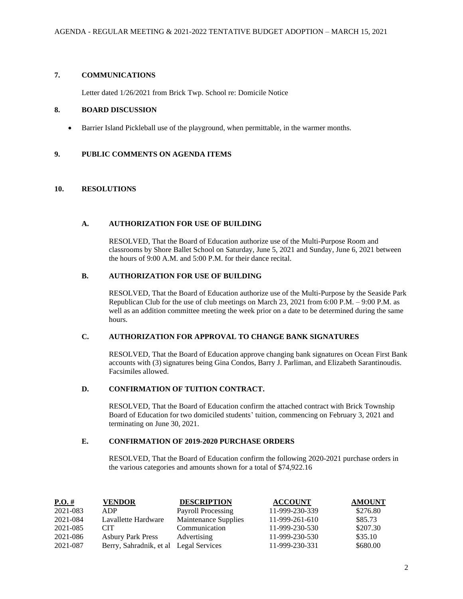# **7. COMMUNICATIONS**

Letter dated 1/26/2021 from Brick Twp. School re: Domicile Notice

### **8. BOARD DISCUSSION**

• Barrier Island Pickleball use of the playground, when permittable, in the warmer months.

# **9. PUBLIC COMMENTS ON AGENDA ITEMS**

### **10. RESOLUTIONS**

#### **A. AUTHORIZATION FOR USE OF BUILDING**

RESOLVED, That the Board of Education authorize use of the Multi-Purpose Room and classrooms by Shore Ballet School on Saturday, June 5, 2021 and Sunday, June 6, 2021 between the hours of 9:00 A.M. and 5:00 P.M. for their dance recital.

#### **B. AUTHORIZATION FOR USE OF BUILDING**

RESOLVED, That the Board of Education authorize use of the Multi-Purpose by the Seaside Park Republican Club for the use of club meetings on March 23, 2021 from 6:00 P.M. – 9:00 P.M. as well as an addition committee meeting the week prior on a date to be determined during the same hours.

# **C. AUTHORIZATION FOR APPROVAL TO CHANGE BANK SIGNATURES**

RESOLVED, That the Board of Education approve changing bank signatures on Ocean First Bank accounts with (3) signatures being Gina Condos, Barry J. Parliman, and Elizabeth Sarantinoudis. Facsimiles allowed.

# **D. CONFIRMATION OF TUITION CONTRACT.**

RESOLVED, That the Board of Education confirm the attached contract with Brick Township Board of Education for two domiciled students' tuition, commencing on February 3, 2021 and terminating on June 30, 2021.

### **E. CONFIRMATION OF 2019-2020 PURCHASE ORDERS**

RESOLVED, That the Board of Education confirm the following 2020-2021 purchase orders in the various categories and amounts shown for a total of \$74,922.16

| P.O.#    | <b>VENDOR</b>                          | <b>DESCRIPTION</b>   | <b>ACCOUNT</b> | <b>AMOUNT</b> |
|----------|----------------------------------------|----------------------|----------------|---------------|
| 2021-083 | ADP                                    | Payroll Processing   | 11-999-230-339 | \$276.80      |
| 2021-084 | Lavallette Hardware                    | Maintenance Supplies | 11-999-261-610 | \$85.73       |
| 2021-085 | <b>CIT</b>                             | Communication        | 11-999-230-530 | \$207.30      |
| 2021-086 | <b>Asbury Park Press</b>               | Advertising          | 11-999-230-530 | \$35.10       |
| 2021-087 | Berry, Sahradnik, et al Legal Services |                      | 11-999-230-331 | \$680.00      |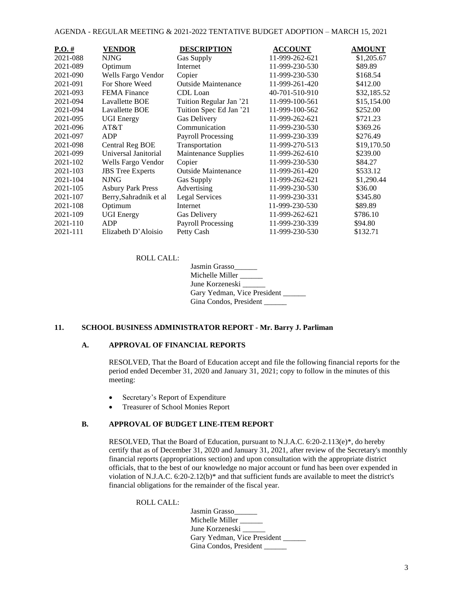| $P.O. \#$ | VENDOR                   | <b>DESCRIPTION</b>         | <b>ACCOUNT</b> | <b>AMOUNT</b> |
|-----------|--------------------------|----------------------------|----------------|---------------|
| 2021-088  | NJNG.                    | Gas Supply                 | 11-999-262-621 | \$1,205.67    |
| 2021-089  | Optimum                  | Internet                   | 11-999-230-530 | \$89.89       |
| 2021-090  | Wells Fargo Vendor       | Copier                     | 11-999-230-530 | \$168.54      |
| 2021-091  | For Shore Weed           | Outside Maintenance        | 11-999-261-420 | \$412.00      |
| 2021-093  | <b>FEMA</b> Finance      | CDL Loan                   | 40-701-510-910 | \$32,185.52   |
| 2021-094  | Lavallette BOE           | Tuition Regular Jan '21    | 11-999-100-561 | \$15,154.00   |
| 2021-094  | Lavallette BOE           | Tuition Spec Ed Jan '21    | 11-999-100-562 | \$252.00      |
| 2021-095  | <b>UGI Energy</b>        | <b>Gas Delivery</b>        | 11-999-262-621 | \$721.23      |
| 2021-096  | AT&T                     | Communication              | 11-999-230-530 | \$369.26      |
| 2021-097  | ADP                      | <b>Payroll Processing</b>  | 11-999-230-339 | \$276.49      |
| 2021-098  | Central Reg BOE          | Transportation             | 11-999-270-513 | \$19,170.50   |
| 2021-099  | Universal Janitorial     | Maintenance Supplies       | 11-999-262-610 | \$239.00      |
| 2021-102  | Wells Fargo Vendor       | Copier                     | 11-999-230-530 | \$84.27       |
| 2021-103  | <b>JBS</b> Tree Experts  | <b>Outside Maintenance</b> | 11-999-261-420 | \$533.12      |
| 2021-104  | <b>NJNG</b>              | Gas Supply                 | 11-999-262-621 | \$1,290.44    |
| 2021-105  | <b>Asbury Park Press</b> | Advertising                | 11-999-230-530 | \$36.00       |
| 2021-107  | Berry, Sahradnik et al   | <b>Legal Services</b>      | 11-999-230-331 | \$345.80      |
| 2021-108  | Optimum                  | Internet                   | 11-999-230-530 | \$89.89       |
| 2021-109  | <b>UGI Energy</b>        | <b>Gas Delivery</b>        | 11-999-262-621 | \$786.10      |
| 2021-110  | ADP                      | <b>Payroll Processing</b>  | 11-999-230-339 | \$94.80       |
| 2021-111  | Elizabeth D'Aloisio      | Petty Cash                 | 11-999-230-530 | \$132.71      |

ROLL CALL:

| Jasmin Grasso               |
|-----------------------------|
| Michelle Miller             |
| June Korzeneski             |
| Gary Yedman, Vice President |
| Gina Condos, President      |

### **11. SCHOOL BUSINESS ADMINISTRATOR REPORT - Mr. Barry J. Parliman**

#### **A. APPROVAL OF FINANCIAL REPORTS**

RESOLVED, That the Board of Education accept and file the following financial reports for the period ended December 31, 2020 and January 31, 2021; copy to follow in the minutes of this meeting:

- Secretary's Report of Expenditure
- Treasurer of School Monies Report

### **B. APPROVAL OF BUDGET LINE-ITEM REPORT**

RESOLVED, That the Board of Education, pursuant to N.J.A.C. 6:20-2.113(e)\*, do hereby certify that as of December 31, 2020 and January 31, 2021, after review of the Secretary's monthly financial reports (appropriations section) and upon consultation with the appropriate district officials, that to the best of our knowledge no major account or fund has been over expended in violation of N.J.A.C. 6:20-2.12(b)\* and that sufficient funds are available to meet the district's financial obligations for the remainder of the fiscal year.

ROLL CALL:

Jasmin Grasso\_\_\_\_\_\_ Michelle Miller \_\_\_\_\_ June Korzeneski Gary Yedman, Vice President \_\_\_\_\_\_ Gina Condos, President \_\_\_\_\_\_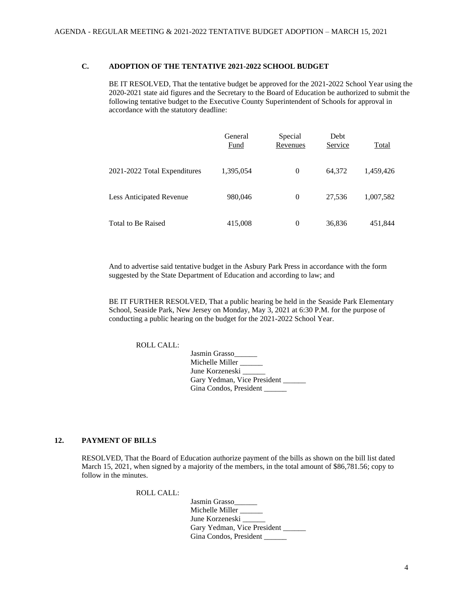## **C. ADOPTION OF THE TENTATIVE 2021-2022 SCHOOL BUDGET**

BE IT RESOLVED, That the tentative budget be approved for the 2021-2022 School Year using the 2020-2021 state aid figures and the Secretary to the Board of Education be authorized to submit the following tentative budget to the Executive County Superintendent of Schools for approval in accordance with the statutory deadline:

|                              | General<br>Fund | Special<br>Revenues | Debt<br>Service | Total     |
|------------------------------|-----------------|---------------------|-----------------|-----------|
| 2021-2022 Total Expenditures | 1,395,054       | $\overline{0}$      | 64.372          | 1,459,426 |
| Less Anticipated Revenue     | 980,046         | 0                   | 27.536          | 1,007,582 |
| Total to Be Raised           | 415,008         | 0                   | 36,836          | 451,844   |

And to advertise said tentative budget in the Asbury Park Press in accordance with the form suggested by the State Department of Education and according to law; and

BE IT FURTHER RESOLVED, That a public hearing be held in the Seaside Park Elementary School, Seaside Park, New Jersey on Monday, May 3, 2021 at 6:30 P.M. for the purpose of conducting a public hearing on the budget for the 2021-2022 School Year.

ROLL CALL:

Jasmin Grasso\_\_\_\_\_\_ Michelle Miller \_\_\_\_\_ June Korzeneski Gary Yedman, Vice President Gina Condos, President

## **12. PAYMENT OF BILLS**

RESOLVED, That the Board of Education authorize payment of the bills as shown on the bill list dated March 15, 2021, when signed by a majority of the members, in the total amount of \$86,781.56; copy to follow in the minutes.

ROLL CALL:

Jasmin Grasso\_\_\_\_\_\_ Michelle Miller \_\_\_\_\_\_ June Korzeneski Gary Yedman, Vice President \_\_\_\_\_\_ Gina Condos, President \_\_\_\_\_